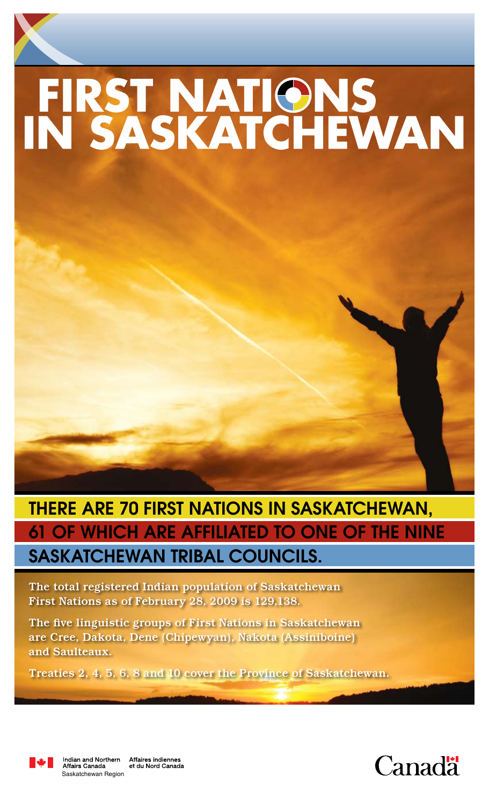# FIRST NATIONS<br>IN SASKATCHEWAN

# There are 70 First Nations in Saskatchewan, 61 of which are affiliated to one of the NINE Saskatchewan tribal councils.

The total registered Indian population of Saskatchewan First Nations as of February 28, 2009 is 129,138.

The five linguistic groups of First Nations in Saskatchewan are Cree, Dakota, Dene (Chipewyan), Nakota (Assiniboine) and Saulteaux.

Treaties 2, 4, 5, 6, 8 and 10 cover the Province of Saskatchewan.



Indian and Northern<br>Affairs Canada Affaires indiennes<br>et du Nord Canada Saskatchewan Region

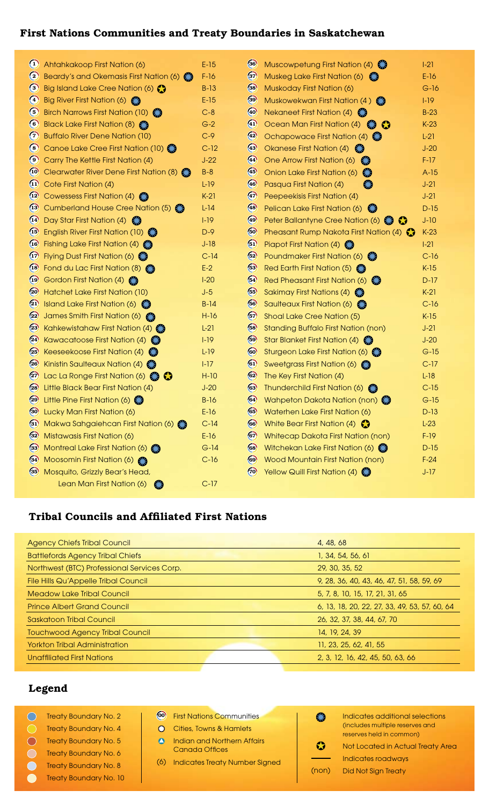# First Nations Communities and Treaty Boundaries in Saskatchewan

| $\bf \omega$          | Ahtahkakoop First Nation (6)                 | $E-15$ | $\left( 36 \right)$ | Muscowpetung First Nation (4)<br>E.3                                                | $ -21$ |
|-----------------------|----------------------------------------------|--------|---------------------|-------------------------------------------------------------------------------------|--------|
| $\circled{c}$         | Beardy's and Okemasis First Nation (6)       | $F-16$ | $\left(37\right)$   | Muskeg Lake First Nation (6)                                                        | $E-16$ |
| $\odot$               | Big Island Lake Cree Nation (6)              | $B-13$ | $38$                | Muskoday First Nation (6)                                                           | $G-16$ |
| $\left( 4\right)$     | Big River First Nation (6)                   | $E-15$ | $\left(39\right)$   | Muskowekwan First Nation (4)                                                        | $1-19$ |
| $\circ$               | Birch Narrows First Nation (10)              | $C-8$  | 40                  | <b>Nekaneet First Nation (4)</b> $\ddot{\bullet}$                                   | $B-23$ |
| $\circ$               | Black Lake First Nation (8)                  | $G-2$  | $\left( 4\right)$   | Ocean Man First Nation (4)<br>$\bullet$                                             | $K-23$ |
| $\bf C$               | <b>Buffalo River Dene Nation (10)</b>        | $C-9$  | $\left( 42\right)$  | Ochapowace First Nation (4)<br>€                                                    | $L-21$ |
| $\circ$               | Canoe Lake Cree First Nation (10)            | $C-12$ | $\circled{4}$       | Okanese First Nation (4)                                                            | $J-20$ |
| $\odot$               | Carry The Kettle First Nation (4)            | $J-22$ | $\left( 44\right)$  | One Arrow First Nation (6)<br>€                                                     | $F-17$ |
| $\boldsymbol{\omega}$ | Clearwater River Dene First Nation (8)       | $B-8$  | $\left( 45\right)$  | Onion Lake First Nation (6)<br>E.G                                                  | $A-15$ |
| $\left( 1\right)$     | Cote First Nation (4)                        | $L-19$ | $\left( 46\right)$  | Pasqua First Nation (4)<br><b>CIA</b>                                               | $J-21$ |
| $\overline{12}$       | Cowessess First Nation (4)                   | $K-21$ | $\left( 47\right)$  | Peepeekisis First Nation (4)                                                        | $J-21$ |
| (13)                  | Cumberland House Cree Nation (5)             | $L-14$ | $\left( 48 \right)$ | Pelican Lake First Nation (6)<br>E.3                                                | $D-15$ |
| $\left(14\right)$     | Day Star First Nation (4) <b>€ 9</b>         | $1-19$ | $\left( 49\right)$  | Peter Ballantyne Cree Nation (6)                                                    | $J-10$ |
| (15)                  | English River First Nation (10)              | $D-9$  | 60                  | Pheasant Rump Nakota First Nation (4)                                               | $K-23$ |
| $\overline{16}$       | Fishing Lake First Nation (4)                | $J-18$ | $\circ$             | Piapot First Nation (4) <b>€ 3</b>                                                  | $ -21$ |
| $\left(17\right)$     | Flying Dust First Nation (6)                 | $C-14$ | $62$                | Poundmaker First Nation (6)                                                         | $C-16$ |
| $\left( 18 \right)$   | Fond du Lac First Nation (8)                 | $E-2$  | $(53)$              | Red Earth First Nation (5)                                                          | $K-15$ |
| $\overline{19}$       | Gordon First Nation (4)                      | $1-20$ | $64$                | Red Pheasant First Nation (6)                                                       | $D-17$ |
| $\circledcirc$        | Hatchet Lake First Nation (10)               | $J-5$  | $65$                | Sakimay First Nations (4)                                                           | $K-21$ |
| $\left( 21\right)$    | Island Lake First Nation (6)                 | $B-14$ | 66                  | Saulteaux First Nation (6)                                                          | $C-16$ |
| $\left( 2 \right)$    | James Smith First Nation (6)                 | $H-16$ | $67$                | Shoal Lake Cree Nation (5)                                                          | $K-15$ |
| $\left( 23\right)$    | Kahkewistahaw First Nation (4)               | $L-21$ | $68$                | <b>Standing Buffalo First Nation (non)</b>                                          | $J-21$ |
| $\circled{2}$         | Kawacatoose First Nation $(4)$               | $1-19$ | $69$                | Star Blanket First Nation (4)                                                       | $J-20$ |
| $\left( 25\right)$    | Keeseekoose First Nation (4)                 | $L-19$ | 60                  | Sturgeon Lake First Nation (6)                                                      | $G-15$ |
| 26                    | Kinistin Saulteaux Nation (4) $\binom{3}{2}$ | $1-17$ | $\left( 61 \right)$ | Sweetgrass First Nation (6)                                                         | $C-17$ |
| $\binom{27}{2}$       | Lac La Ronge First Nation (6)<br>$\bullet$   | $H-10$ | 62                  | The Key First Nation (4)                                                            | $L-18$ |
| $\overline{28}$       | Little Black Bear First Nation (4)           | $J-20$ | 63)                 | Thunderchild First Nation (6)                                                       | $C-15$ |
| (29)                  | Little Pine First Nation (6)                 | $B-16$ | (64)                | Wahpeton Dakota Nation (non)                                                        | $G-15$ |
| <b>30</b>             | Lucky Man First Nation (6)                   | $E-16$ | 65                  | Waterhen Lake First Nation (6)                                                      | D-13   |
| $\left(31\right)$     | Makwa Sahgaiehcan First Nation (6)           | $C-14$ | 66                  | White Bear First Nation (4) $\bullet$                                               | $L-23$ |
| $\left( 32\right)$    | Mistawasis First Nation (6)                  | $E-16$ | 67                  | <b>Whitecap Dakota First Nation (non)</b>                                           | $F-19$ |
| $\left(33\right)$     | Montreal Lake First Nation (6)               | $G-14$ | 68                  | Witchekan Lake First Nation (6) $\left( \begin{matrix} 2 \\ 3 \end{matrix} \right)$ | $D-15$ |
| $\circled{34}$        | Moosomin First Nation (6)                    | $C-16$ | 69                  | <b>Wood Mountain First Nation (non)</b>                                             | $F-24$ |
| (35)                  | Mosquito, Grizzly Bear's Head,               |        | (70)                | Yellow Quill First Nation (4)                                                       | $J-17$ |
|                       | Lean Man First Nation (6)<br>E.3             | $C-17$ |                     |                                                                                     |        |

# Tribal Councils and Affiliated First Nations

| <b>Agency Chiefs Tribal Council</b>         | 4, 48, 68                                     |  |
|---------------------------------------------|-----------------------------------------------|--|
| <b>Battlefords Agency Tribal Chiefs</b>     | 1, 34, 54, 56, 61                             |  |
| Northwest (BTC) Professional Services Corp. | 29, 30, 35, 52                                |  |
| File Hills Qu'Appelle Tribal Council        | 9, 28, 36, 40, 43, 46, 47, 51, 58, 59, 69     |  |
| <b>Meadow Lake Tribal Council</b>           | 5, 7, 8, 10, 15, 17, 21, 31, 65               |  |
| <b>Prince Albert Grand Council</b>          | 6, 13, 18, 20, 22, 27, 33, 49, 53, 57, 60, 64 |  |
| Saskatoon Tribal Council                    | 26, 32, 37, 38, 44, 67, 70                    |  |
| <b>Touchwood Agency Tribal Council</b>      | 14, 19, 24, 39                                |  |
| <b>Yorkton Tribal Administration</b>        | 11, 23, 25, 62, 41, 55                        |  |
| <b>Unaffiliated First Nations</b>           | 2, 3, 12, 16, 42, 45, 50, 63, 66              |  |

# Legend

- Treaty Boundary No. 2
- **C** Treaty Boundary No. 4
- Treaty Boundary No. 5
- Treaty Boundary No. 6  $\bigcirc$
- Treaty Boundary No. 8
- Treaty Boundary No. 10
- 00 First Nations Communities
- **O** Cities, Towns & Hamlets **A** Indian and Northern Affairs
- Canada Offices
- (6) Indicates Treaty Number Signed
- € Indicates additional selections (includes multiple reserves and reserves held in common)  $\bullet$ Not Located in Actual Treaty Area  $\overline{\phantom{0}}$ Indicates roadways (non) Did Not Sign Treaty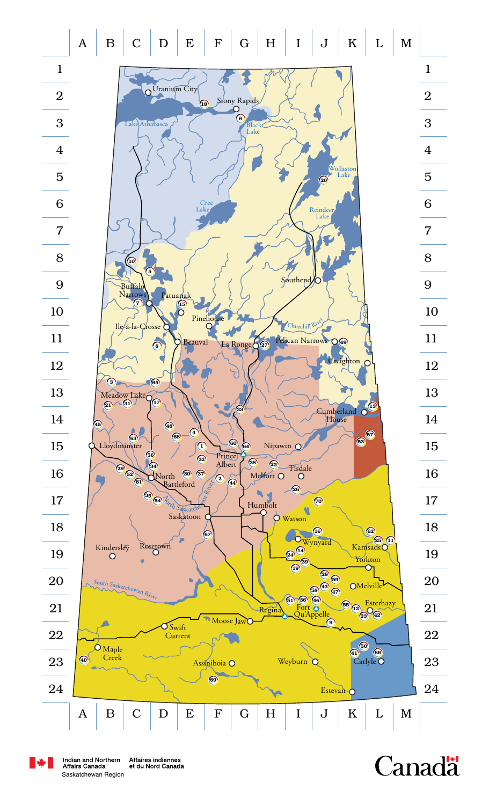$\begin{array}{c|c|c|c|c|c|c|c} A & B & C & D & E & F & G & H & I & J & K & L & M \ \end{array}$ 



**Canadä** 



Affaires indiennes et du Nord Canada Saskatchewan Region